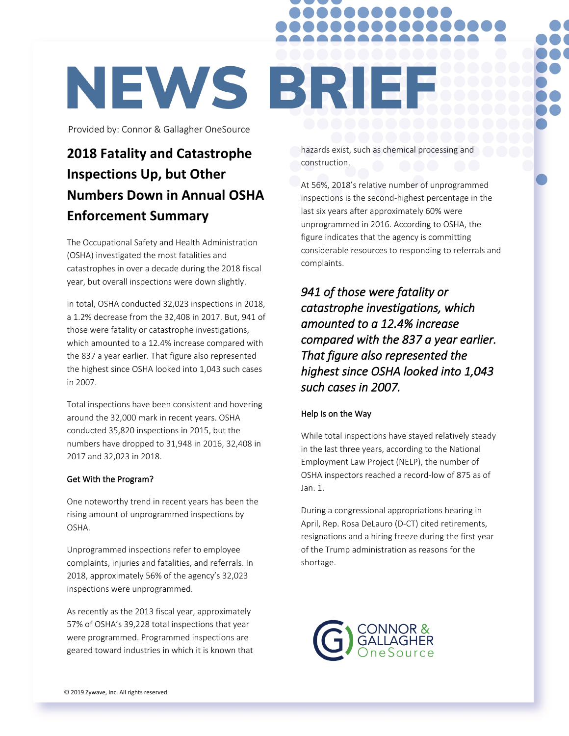## NEWS B

Provided by: Connor & Gallagher OneSource

### **2018 Fatality and Catastrophe Inspections Up, but Other Numbers Down in Annual OSHA Enforcement Summary**

The Occupational Safety and Health Administration (OSHA) investigated the most fatalities and catastrophes in over a decade during the 2018 fiscal year, but overall inspections were down slightly.

In total, OSHA conducted 32,023 inspections in 2018, a 1.2% decrease from the 32,408 in 2017. But, 941 of those were fatality or catastrophe investigations, which amounted to a 12.4% increase compared with the 837 a year earlier. That figure also represented the highest since OSHA looked into 1,043 such cases in 2007.

Total inspections have been consistent and hovering around the 32,000 mark in recent years. OSHA conducted 35,820 inspections in 2015, but the numbers have dropped to 31,948 in 2016, 32,408 in 2017 and 32,023 in 2018.

#### **Get With the Program?**

One noteworthy trend in recent years has been the rising amount of unprogrammed inspections by OSHA.

Unprogrammed inspections refer to employee complaints, injuries and fatalities, and referrals. In 2018, approximately 56% of the agency's 32,023 inspections were unprogrammed.

As recently as the 2013 fiscal year, approximately 57% of OSHA's 39,228 total inspections that year were programmed. Programmed inspections are geared toward industries in which it is known that hazards exist, such as chemical processing and construction.

At 56%, 2018's relative number of unprogrammed inspections is the second-highest percentage in the last six years after approximately 60% were unprogrammed in 2016. According to OSHA, the figure indicates that the agency is committing considerable resources to responding to referrals and complaints.

*941 of those were fatality or catastrophe investigations, which amounted to a 12.4% increase compared with the 837 a year earlier. That figure also represented the highest since OSHA looked into 1,043 such cases in 2007.*

#### **Help Is on the Way**

While total inspections have stayed relatively steady in the last three years, according to the National Employment Law Project (NELP), the number of OSHA inspectors reached a record-low of 875 as of Jan. 1.

During a congressional appropriations hearing in April, Rep. Rosa DeLauro (D-CT) cited retirements, resignations and a hiring freeze during the first year of the Trump administration as reasons for the shortage.